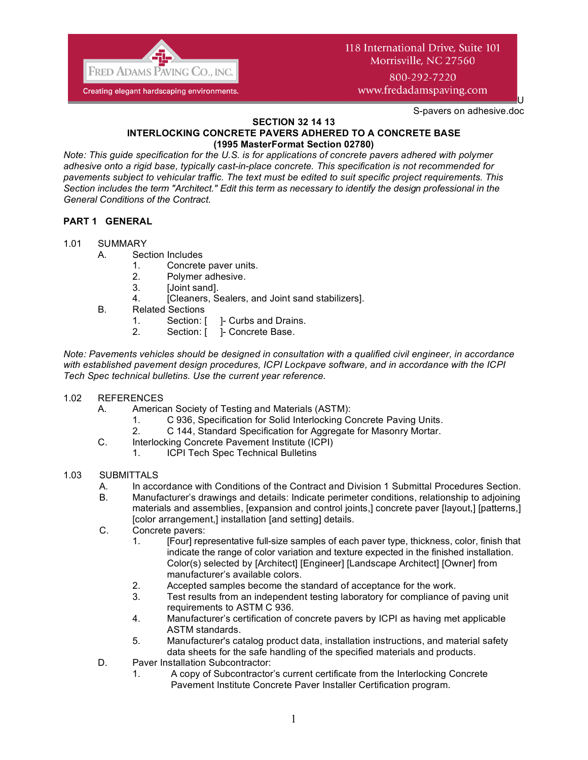

# 118 International Drive, Suite 101 Morrisville, NC 27560

800-292-7220 www.fredadamspaving.com

S-pavers on adhesive.doc

U

#### **SECTION 32 14 13 INTERLOCKING CONCRETE PAVERS ADHERED TO A CONCRETE BASE (1995 MasterFormat Section 02780)**

*Note: This guide specification for the U.S. is for applications of concrete pavers adhered with polymer adhesive onto a rigid base, typically cast-in-place concrete. This specification is not recommended for pavements subject to vehicular traffic. The text must be edited to suit specific project requirements. This Section includes the term "Architect." Edit this term as necessary to identify the design professional in the General Conditions of the Contract.*

# **PART 1 GENERAL**

- 1.01 SUMMARY
	- A. Section Includes
		- 1. Concrete paver units.
		- 2. Polymer adhesive.
		- 3. [Joint sand].
		- 4. [Cleaners, Sealers, and Joint sand stabilizers].
	- B. Related Sections
		- 1. Section: [ ]- Curbs and Drains.
		- 2. Section: [ ]- Concrete Base.

*Note: Pavements vehicles should be designed in consultation with a qualified civil engineer, in accordance with established pavement design procedures, ICPI Lockpave software, and in accordance with the ICPI Tech Spec technical bulletins. Use the current year reference.*

- 1.02 REFERENCES
	- A. American Society of Testing and Materials (ASTM):
		- 1. C 936, Specification for Solid Interlocking Concrete Paving Units.
		- 2. C 144, Standard Specification for Aggregate for Masonry Mortar.
	- C. Interlocking Concrete Pavement Institute (ICPI)
		- 1. ICPI Tech Spec Technical Bulletins

## 1.03 SUBMITTALS

- A. In accordance with Conditions of the Contract and Division 1 Submittal Procedures Section.
- B. Manufacturer's drawings and details: Indicate perimeter conditions, relationship to adjoining materials and assemblies, [expansion and control joints,] concrete paver [layout,] [patterns,] [color arrangement,] installation [and setting] details.
- C. Concrete pavers:
	- 1. [Four] representative full-size samples of each paver type, thickness, color, finish that indicate the range of color variation and texture expected in the finished installation. Color(s) selected by [Architect] [Engineer] [Landscape Architect] [Owner] from manufacturer's available colors.
	- 2. Accepted samples become the standard of acceptance for the work.
	- 3. Test results from an independent testing laboratory for compliance of paving unit requirements to ASTM C 936.
	- 4. Manufacturer's certification of concrete pavers by ICPI as having met applicable ASTM standards.
	- 5. Manufacturer's catalog product data, installation instructions, and material safety data sheets for the safe handling of the specified materials and products.
- D. Paver Installation Subcontractor:
	- 1. A copy of Subcontractor's current certificate from the Interlocking Concrete Pavement Institute Concrete Paver Installer Certification program.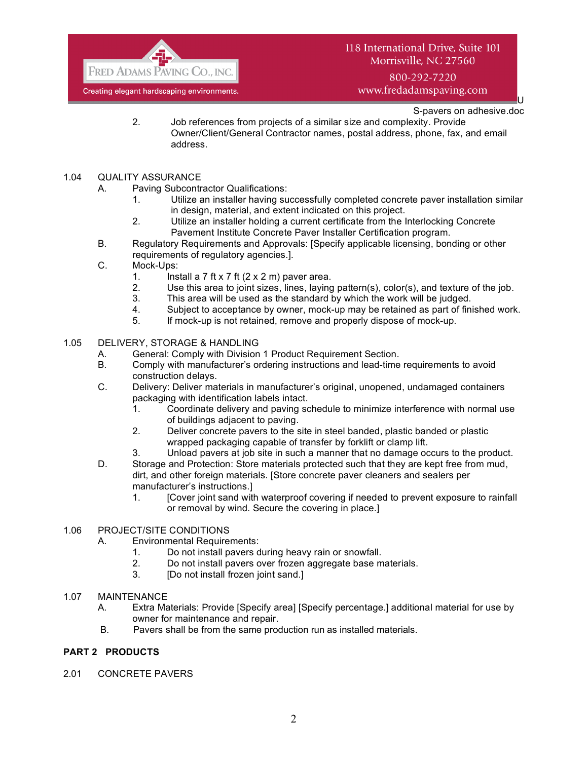

800-292-7220 www.fredadamspaving.com

U S-pavers on adhesive.doc

- 2. Job references from projects of a similar size and complexity. Provide Owner/Client/General Contractor names, postal address, phone, fax, and email address.
- 1.04 QUALITY ASSURANCE
	- A. Paving Subcontractor Qualifications:
		- 1. Utilize an installer having successfully completed concrete paver installation similar in design, material, and extent indicated on this project.
		- 2. Utilize an installer holding a current certificate from the Interlocking Concrete Pavement Institute Concrete Paver Installer Certification program.
	- B. Regulatory Requirements and Approvals: [Specify applicable licensing, bonding or other requirements of regulatory agencies.].
	- C. Mock-Ups:
		- 1. Install a 7 ft x 7 ft  $(2 \times 2 \text{ m})$  paver area.
		- 2. Use this area to joint sizes, lines, laying pattern(s), color(s), and texture of the job.
		- 3. This area will be used as the standard by which the work will be judged.
		- 4. Subject to acceptance by owner, mock-up may be retained as part of finished work.
		- 5. If mock-up is not retained, remove and properly dispose of mock-up.
- 1.05 DELIVERY, STORAGE & HANDLING
	- A. General: Comply with Division 1 Product Requirement Section.
	- B. Comply with manufacturer's ordering instructions and lead-time requirements to avoid construction delays.
	- C. Delivery: Deliver materials in manufacturer's original, unopened, undamaged containers packaging with identification labels intact.
		- 1. Coordinate delivery and paving schedule to minimize interference with normal use of buildings adjacent to paving.
		- 2. Deliver concrete pavers to the site in steel banded, plastic banded or plastic wrapped packaging capable of transfer by forklift or clamp lift.
		- 3. Unload pavers at job site in such a manner that no damage occurs to the product.
	- D. Storage and Protection: Store materials protected such that they are kept free from mud, dirt, and other foreign materials. [Store concrete paver cleaners and sealers per manufacturer's instructions.]
		- 1. [Cover joint sand with waterproof covering if needed to prevent exposure to rainfall or removal by wind. Secure the covering in place.]

#### 1.06 PROJECT/SITE CONDITIONS

- A. Environmental Requirements:
	- 1. Do not install pavers during heavy rain or snowfall.
	- 2. Do not install pavers over frozen aggregate base materials.
	- 3. [Do not install frozen joint sand.]
- 1.07 MAINTENANCE
	- A. Extra Materials: Provide [Specify area] [Specify percentage.] additional material for use by owner for maintenance and repair.
	- B. Pavers shall be from the same production run as installed materials.

## **PART 2 PRODUCTS**

2.01 CONCRETE PAVERS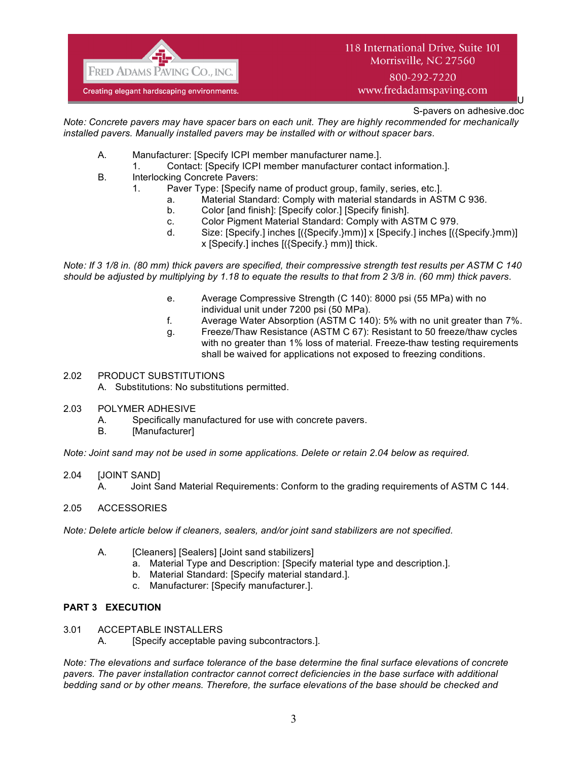

# 118 International Drive, Suite 101 Morrisville, NC 27560

800-292-7220 www.fredadamspaving.com

> U S-pavers on adhesive.doc

*Note: Concrete pavers may have spacer bars on each unit. They are highly recommended for mechanically installed pavers. Manually installed pavers may be installed with or without spacer bars.*

- A. Manufacturer: [Specify ICPI member manufacturer name.].
	- 1. Contact: [Specify ICPI member manufacturer contact information.].
- B. Interlocking Concrete Pavers:
	- 1. Paver Type: [Specify name of product group, family, series, etc.].
		- a. Material Standard: Comply with material standards in ASTM C 936.
		- b. Color [and finish]: [Specify color.] [Specify finish].
		- c. Color Pigment Material Standard: Comply with ASTM C 979.
		- d. Size: [Specify.] inches [({Specify.}mm)] x [Specify.] inches [({Specify.}mm)] x [Specify.] inches [({Specify.} mm)] thick.

*Note: If 3 1/8 in. (80 mm) thick pavers are specified, their compressive strength test results per ASTM C 140 should be adjusted by multiplying by 1.18 to equate the results to that from 2 3/8 in. (60 mm) thick pavers.*

- e. Average Compressive Strength (C 140): 8000 psi (55 MPa) with no individual unit under 7200 psi (50 MPa).
- f. Average Water Absorption (ASTM C 140): 5% with no unit greater than 7%.
- g. Freeze/Thaw Resistance (ASTM C 67): Resistant to 50 freeze/thaw cycles with no greater than 1% loss of material. Freeze-thaw testing requirements shall be waived for applications not exposed to freezing conditions.

## 2.02 PRODUCT SUBSTITUTIONS

A. Substitutions: No substitutions permitted.

## 2.03 POLYMER ADHESIVE

- A. Specifically manufactured for use with concrete pavers.
- B. [Manufacturer]

*Note: Joint sand may not be used in some applications. Delete or retain 2.04 below as required.*

2.04 [JOINT SAND]

A. Joint Sand Material Requirements: Conform to the grading requirements of ASTM C 144.

2.05 ACCESSORIES

*Note: Delete article below if cleaners, sealers, and/or joint sand stabilizers are not specified.*

- A. [Cleaners] [Sealers] [Joint sand stabilizers]
	- a. Material Type and Description: [Specify material type and description.].
	- b. Material Standard: [Specify material standard.].
	- c. Manufacturer: [Specify manufacturer.].

## **PART 3 EXECUTION**

- 3.01 ACCEPTABLE INSTALLERS
	- A. [Specify acceptable paving subcontractors.].

*Note: The elevations and surface tolerance of the base determine the final surface elevations of concrete pavers. The paver installation contractor cannot correct deficiencies in the base surface with additional bedding sand or by other means. Therefore, the surface elevations of the base should be checked and*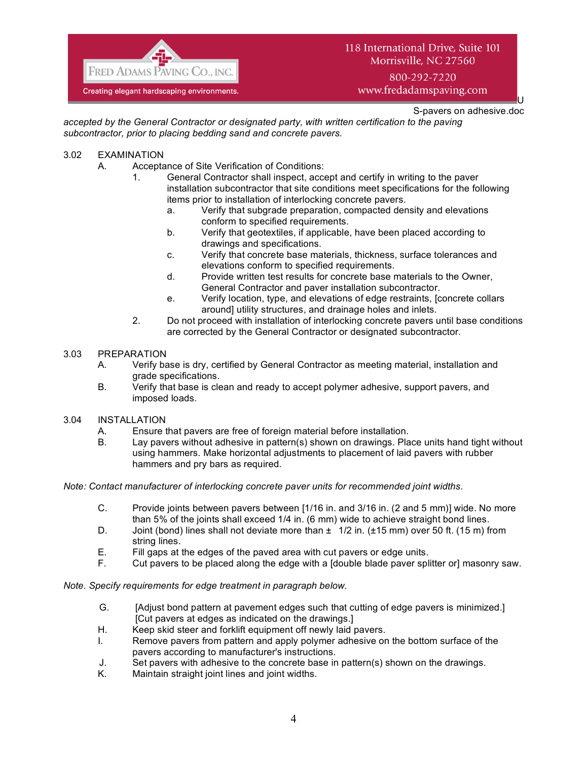

## 118 International Drive, Suite 101 Morrisville, NC 27560

800-292-7220 www.fredadamspaving.com

> U S-pavers on adhesive.doc

*accepted by the General Contractor or designated party, with written certification to the paving subcontractor, prior to placing bedding sand and concrete pavers.*

- 3.02 EXAMINATION
	- A. Acceptance of Site Verification of Conditions:
		- 1. General Contractor shall inspect, accept and certify in writing to the paver installation subcontractor that site conditions meet specifications for the following items prior to installation of interlocking concrete pavers.
			- a. Verify that subgrade preparation, compacted density and elevations conform to specified requirements.
			- b. Verify that geotextiles, if applicable, have been placed according to drawings and specifications.
			- c. Verify that concrete base materials, thickness, surface tolerances and elevations conform to specified requirements.
			- d. Provide written test results for concrete base materials to the Owner, General Contractor and paver installation subcontractor.
			- e. Verify location, type, and elevations of edge restraints, [concrete collars around] utility structures, and drainage holes and inlets.
		- 2. Do not proceed with installation of interlocking concrete pavers until base conditions are corrected by the General Contractor or designated subcontractor.
- 3.03 PREPARATION
	- A. Verify base is dry, certified by General Contractor as meeting material, installation and grade specifications.
	- B. Verify that base is clean and ready to accept polymer adhesive, support pavers, and imposed loads.
- 3.04 INSTALLATION
	- A. Ensure that pavers are free of foreign material before installation.
	- B. Lay pavers without adhesive in pattern(s) shown on drawings. Place units hand tight without using hammers. Make horizontal adjustments to placement of laid pavers with rubber hammers and pry bars as required.

*Note: Contact manufacturer of interlocking concrete paver units for recommended joint widths.*

- C. Provide joints between pavers between [1/16 in. and 3/16 in. (2 and 5 mm)] wide. No more than 5% of the joints shall exceed 1/4 in. (6 mm) wide to achieve straight bond lines.
- D. Joint (bond) lines shall not deviate more than  $\pm 1/2$  in. ( $\pm 15$  mm) over 50 ft. (15 m) from string lines.
- E. Fill gaps at the edges of the paved area with cut pavers or edge units.
- F. Cut pavers to be placed along the edge with a [double blade paver splitter or] masonry saw.

*Note. Specify requirements for edge treatment in paragraph below.*

- G. [Adjust bond pattern at pavement edges such that cutting of edge pavers is minimized.] [Cut pavers at edges as indicated on the drawings.]
- H. Keep skid steer and forklift equipment off newly laid pavers.
- I. Remove pavers from pattern and apply polymer adhesive on the bottom surface of the pavers according to manufacturer's instructions.
- J. Set pavers with adhesive to the concrete base in pattern(s) shown on the drawings.
- K. Maintain straight joint lines and joint widths.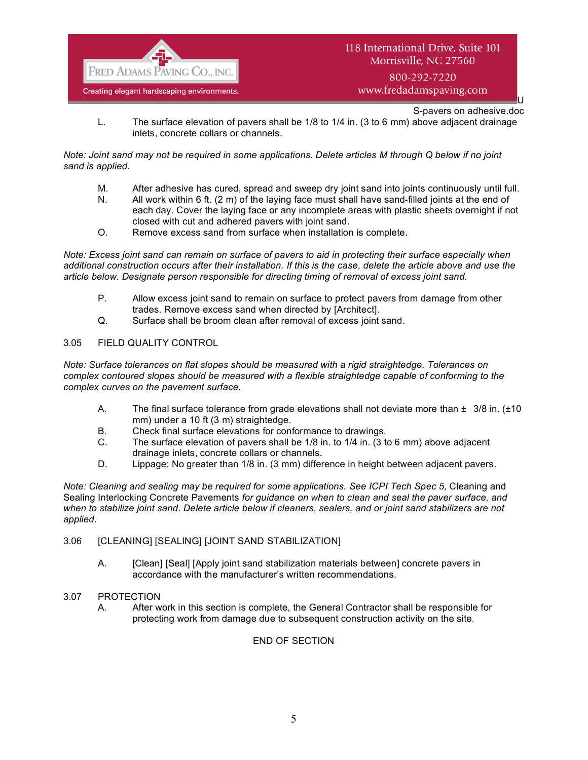

U S-pavers on adhesive.doc

L. The surface elevation of pavers shall be 1/8 to 1/4 in. (3 to 6 mm) above adjacent drainage inlets, concrete collars or channels.

## *Note: Joint sand may not be required in some applications. Delete articles M through Q below if no joint sand is applied.*

- M. After adhesive has cured, spread and sweep dry joint sand into joints continuously until full.
- N. All work within 6 ft. (2 m) of the laying face must shall have sand-filled joints at the end of each day. Cover the laying face or any incomplete areas with plastic sheets overnight if not closed with cut and adhered pavers with joint sand.
- O. Remove excess sand from surface when installation is complete.

*Note: Excess joint sand can remain on surface of pavers to aid in protecting their surface especially when additional construction occurs after their installation. If this is the case, delete the article above and use the article below. Designate person responsible for directing timing of removal of excess joint sand.*

- P. Allow excess joint sand to remain on surface to protect pavers from damage from other trades. Remove excess sand when directed by [Architect].
- Q. Surface shall be broom clean after removal of excess joint sand.

## 3.05 FIELD QUALITY CONTROL

*Note: Surface tolerances on flat slopes should be measured with a rigid straightedge. Tolerances on complex contoured slopes should be measured with a flexible straightedge capable of conforming to the complex curves on the pavement surface.*

- A. The final surface tolerance from grade elevations shall not deviate more than  $\pm$  3/8 in. ( $\pm$ 10 mm) under a 10 ft (3 m) straightedge.
- B. Check final surface elevations for conformance to drawings.
- C. The surface elevation of pavers shall be 1/8 in. to 1/4 in. (3 to 6 mm) above adjacent drainage inlets, concrete collars or channels.
- D. Lippage: No greater than 1/8 in. (3 mm) difference in height between adjacent pavers.

*Note: Cleaning and sealing may be required for some applications. See ICPI Tech Spec 5, Cleaning and* Sealing Interlocking Concrete Pavements *for guidance on when to clean and seal the paver surface, and when to stabilize joint sand. Delete article below if cleaners, sealers, and or joint sand stabilizers are not applied.*

#### 3.06 [CLEANING] [SEALING] [JOINT SAND STABILIZATION]

A. [Clean] [Seal] [Apply joint sand stabilization materials between] concrete pavers in accordance with the manufacturer's written recommendations.

## 3.07 PROTECTION

A. After work in this section is complete, the General Contractor shall be responsible for protecting work from damage due to subsequent construction activity on the site.

#### END OF SECTION